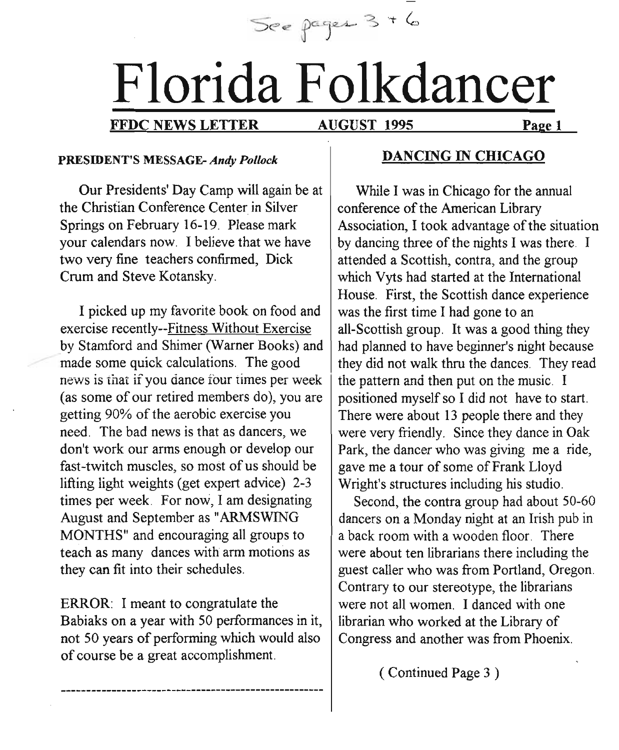See pages 3 + 6

# Florida Folkdancer

#### FFDC NEWS LETTER AUGUST 1995 Page 1

AUGUST 1995

#### PRESIDENT'S MESSAGE- *Andy Pollock*

Our Presidents' Day Camp will again be at the Christian Conference Center in Silver Springs on February 16-19. Please mark your calendars now. I believe that we have two very fine teachers confirmed, Dick Crum and Steve Kotansky.

I picked up my favorite book on food and exercise recently--Fitness Without Exercise by Stamford and Shimer (Warner Books) and made some quick calculations. The good news is that if you dance four times per week (as some of our retired members do), you are getting 90% of the aerobic exercise you need. The bad news is that as dancers, we don't work our arms enough or develop our fast-twitch muscles, so most of us should be lifting light weights (get expert advice) 2-3 times per week. For now, I am designating August and September as "ARMSWING MONTHS" and encouraging all groups to teach as many dances with arm motions as they can fit into their schedules.

ERROR: I meant to congratulate the Babiaks on a year with 50 performances in it, not 50 years of performing which would also of course be a great accomplishment.

#### DANCING IN CHICAGO

While I was in Chicago for the annual conference of the American Library Association, I took advantage of the situation by dancing three of the nights I was there. I attended a Scottish, contra, and the group which Vyts had started at the International House. First, the Scottish dance experience was the first time I had gone to an all-Scottish group. It was a good thing they had planned to have beginner's night because they did not walk thru the dances. They read the pattern and then put on the music. I positioned myself so I did not have to start. There were about 13 people there and they were very friendly. Since they dance in Oak Park, the dancer who was giving me a ride, gave me a tour of some of Frank Lloyd Wright's structures including his studio.

Second, the contra group had about 50-60 dancers on a Monday night at an Irish pub in a back room with a wooden floor. There were about ten librarians there including the guest caller who was from Portland, Oregon. Contrary to our stereotype, the librarians were not all women. I danced with one librarian who worked at the Library of Congress and another was from Phoenix.

( Continued Page 3 )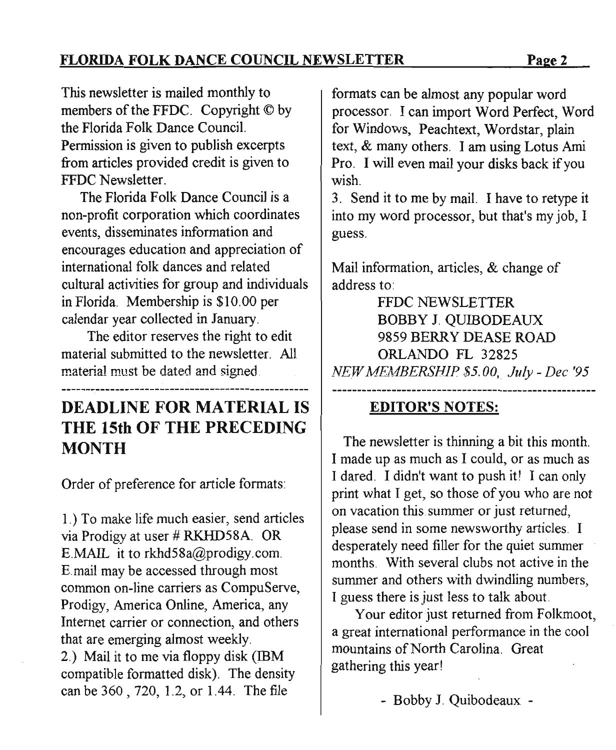**FLORIDA FOLK DANCE COUNCIL NEWSLETTER** Page 2

This newsletter is mailed monthly to members of the FFDC. Copyright © by the Florida Folk Dance Council. Permission is given to publish excerpts from articles provided credit is given to FFDC Newsletter.

The Florida Folk Dance Council is a non-profit corporation which coordinates events, disseminates information and encourages education and appreciation of international folk dances and related cultural activities for group and individuals in Florida, Membership is \$10,00 per calendar year collected in January.

The editor reserves the right to edit material submitted to the newsletter, All material must be dated and signed.

# **DEADLINE FOR MATERIAL IS THE 15th OF THE PRECEDING MONTH**

Order of preference for article formats:

1.) To make life much easier, send articles via Prodigy at user # RKHD58A. OR E.MAIL it to rkhd58a@prodigy.com, E.mail may be accessed through most common on-line carriers as CompuServe, Prodigy, America Online, America, any Internet carrier or connection, and others that are emerging almost weekly. 2.) Mail it to me via floppy disk (IBM compatible formatted disk). The density can be 360 , 720, 1.2, or 1.44. The file

formats can be almost any popular word processor. I can import Word Perfect, Word for Windows, Peachtext, Wordstar, plain text, & many others. I am using Lotus Ami Pro, I will even mail your disks back if you wish.

3. Send it to me by mail. I have to retype it into my word processor, but that's my job, I guess,

Mail information, articles, & change of address to:

FFDC NEWSLETTER BOBBY J. OUIBODEAUX 9859 BERRY DEASE ROAD ORLANDO FL 32825 *NEW MEMBERSHIP \$5.00" July - Dee '95*

## **EDITOR'S NOTES:**

The newsletter is thinning a bit this month. I made up as much as I could, or as much as I dared. I didn't want to push it! I can only print what I get, so those of you who are not on vacation this, summer or just returned, please send in some newsworthy articles, I desperately need filler for the quiet summer months, With several clubs not active in the summer and others with dwindling numbers, I guess there is just less to talk about.

Your editor just returned from Folkmoot, a great international performance in the cool mountains of North Carolina. Great gathering this year!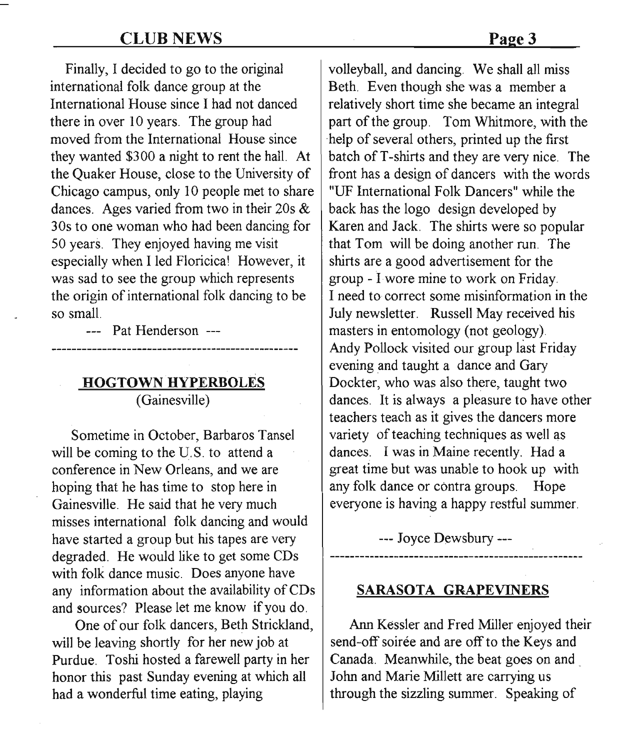#### CLUB NEWS

Finally, I decided to go to the original international folk dance group at the International House since I had not danced there in over 10 years. The group had moved from the International House since they wanted \$300 a night to rent the hall. At the Quaker House, close to the University of Chicago campus, only 10 people met to share dances. Ages varied from two in their 20s & 30s to one woman who had been dancing for 50 years. They enjoyed having me visit especially when I led Floricica! However, it was sad to see the group which represents the origin of international folk dancing to be so small.

--- Pat Henderson ---

#### **HOGTOWN HYPERBOLES** (Gainesville)

Sometime in October, Barbaros Tansel will be coming to the U.S. to attend a conference in New Orleans, and we are hoping that he has time to stop here in Gainesville. He said that he very much misses international folk dancing and would have started a group but his tapes are very degraded. He would like to get some CDs with folk dance music. Does anyone have any information about the availability of CDs and sources? Please let me know if you do.

One of our folk dancers, Beth Strickland, will be leaving shortly for her new job at Purdue. Toshi hosted a farewell party in her honor this past Sunday evening at which all had a wonderful time eating, playing

volleyball, and dancing. We shall all miss Beth. Even though she was a member a relatively short time she became an integral part of the group. Tom Whitmore, with the 'help of several others, printed up the first batch of T-shirts and they are very nice. The front has a design of dancers with the words "UF International Folk Dancers" while the back has the logo design developed by Karen and Jack. The shirts were so popular that Tom will be doing another run. The shirts are a good advertisement for the group - I wore mine to work on Friday. I need to correct some misinformation in the July newsletter. Russell May received his masters in entomology (not geology). Andy Pollock visited our group last Friday evening and taught a dance and Gary Dockter, who was also there, taught two dances. It is always a pleasure to have other teachers teach as it gives the dancers more variety of teaching techniques as well as dances. I was in Maine recently. Had a great time but was unable to hook up with any folk dance or contra groups. Hope everyone is having a happy restful summer.

--- Joyce Dewsbury ---

#### **SARASOTA GRAPEVINERS**

Ann Kessler and Fred Miller enjoyed their send-off soirée and are off to the Keys and Canada. Meanwhile, the beat goes on and. John and Marie Millett are carrying us through the sizzling summer. Speaking of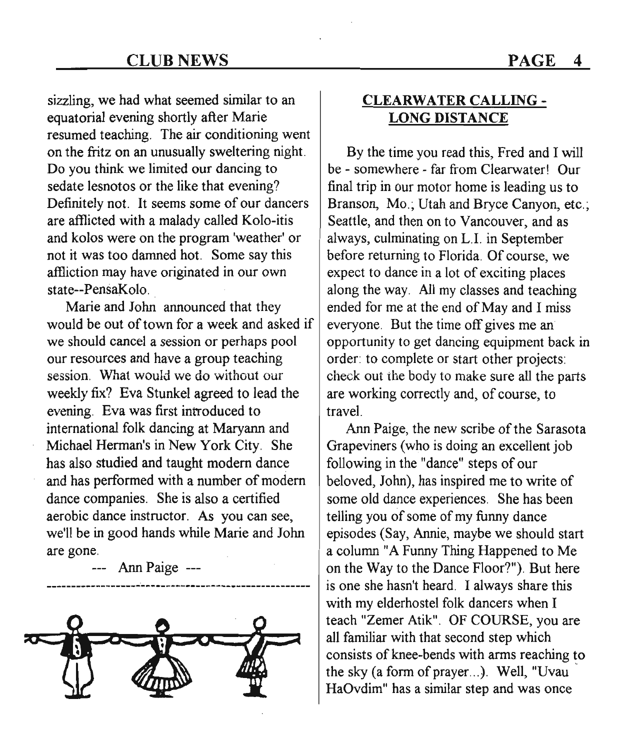sizzling, we had what seemed similar to an equatorial evening shortly after Marie resumed teaching. The air conditioning went on the fritz on an unusually sweltering night. Do you think we limited our dancing to sedate lesnotos or the like that evening? Definitely not. It seems some of our dancers are afflicted with a malady called Kolo-itis and kolos were on the program 'weather' or not it was too damned hot. Some say this affliction may have originated in our own state--PensaKolo.

Marie and John announced that they would be out of town for a week and asked if we should cancel a session or perhaps pool our resources and have a group teaching session. What would we do without our weekly fix? Eva Stunkel agreed to lead the evening. Eva was first introduced to international folk dancing at Maryann and Michael Herman's in New York City. She has also studied and taught modem dance and has performed with a number of modem dance companies. She is also a certified aerobic dance instructor. As you can see, we'll be in good hands while Marie and John are gone.

--- Ann Paige ---



### CLEARWATER CALLING - LONG DISTANCE

By the time you read this, Fred and I will be - somewhere - far from Clearwater! Our final trip in our motor home is leading us to Branson, Mo.; Utah and Bryce Canyon, etc.; Seattle, and then on to Vancouver, and as always, culminating on L.I. in September before returning to Florida. Of course, we expect to dance in a lot of exciting places along the way. All my classes and teaching ended for me at the end of May and I miss everyone. But the time off gives me an opportunity to get dancing equipment back in order: to complete or start other projects: check out the body to make sure all the parts are working correctly and, of course, to travel.

Ann Paige, the new scribe of the Sarasota Grapeviners (who is doing an excellent job following in the "dance" steps of our beloved, John), has inspired me to write of some old dance experiences. She has been telling you of some of my funny dance episodes (Say, Annie, maybe we should start a column "A Funny Thing Happened to Me on the Way to the Dance Floor?"). But here is one she hasn't heard. I always share this with my elderhostel folk dancers when I teach "Zemer Atik". OF COURSE, you are all familiar with that second step which consists of knee-bends with arms reaching to the sky (a form of prayer ...). Well, "Uvau HaOvdim" has a similar step and was once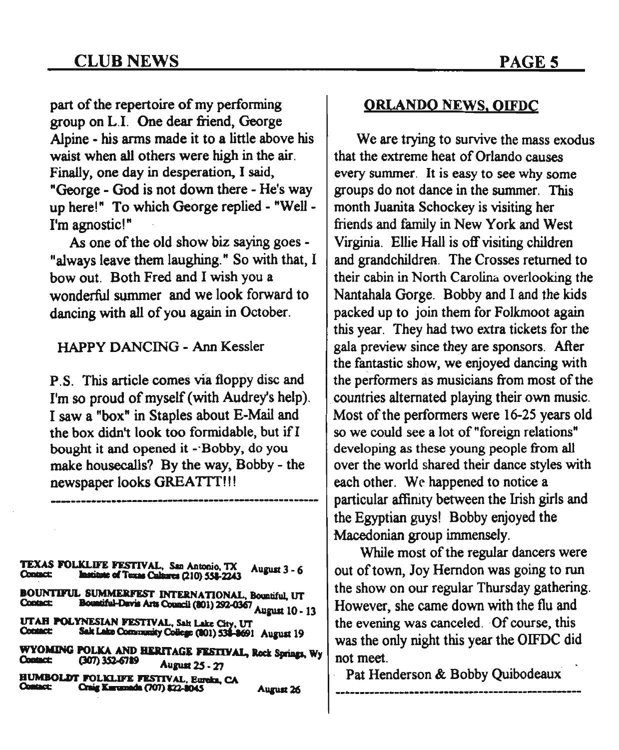part of the repertoire of my performing group on L.1. One dear friend, George Alpine - his arms made it to a little above his waist when all others were high in the air. Finally, one day in desperation, I said, "George - God is not down there - He's way up here!" To which George replied - "Well-I'm agnostic!"

As one of the old show biz saying goes - "always leave them laughing." So with that, I bow out. Both Fred and I wish you a wonderful summer and we look forward to dancing with all of you again in October.

HAPPy DANCING - Ann Kessler

P.S. This article comes via floppy disc and I'm so proud of myself (with Audrey's help). I saw a "box" in Staples about E-Mail and the box didn't look too formidable, but if I bought it and opened it -`Bobby, do you make housecalls? By the way, Bobby - the newspaper looks GREATTT!'!

**------------------------------.----------------------**

TEXAS FOLlCLD'E n:sTIV AI., SIll ADlODio,TX Aupst 3 \_ 6 c::a-s: ••••• alT ••• cu.a (210) 55I-22A3 BOUNTIFUL SUMMERFEST INTERNATIONAL, Bountiful, UT<br>Contact: Bountiful-Davis Arts Council (801) 292-0367 c: Sumivanont ao.t. ao.t. ao.t. (801) 292-0367. August 10 - 13. UTAH POLYNESIAN FESTIVAL, Salt Lake City, UT<br>Contact: Salt Lake Community College (201) 532-2691 Sak Lake Community College (801) 538-8691 August 19 WYOMING POLKA AND HERITAGE FESTIVAL, Rock Springs, Wy<br>Contact: (307) 352-6789 (307) 352-6789 August 25 - 27

BUMBOLDI' POLIa.IFE nsnv41.. BanIb, CA a..a: a-.x.n.a.Ia (707)m.IIMS AUiUIl26

#### ORLANDO NEWS. OIFDC

We are trying to survive the mass exodus that the extreme heat of Orlando causes every summer. It is easy to see why some groups do not dance in the summer. This month Juanita Schockey is visiting her friends and family in New York and West Virginia. Ellie Hall is off visiting children and grandchildren. The Crosses returned to their cabin in North Carolina overlooking the Nantahala Gorge. Bobby and I and the kids packed up to join them for Folkmoot again this year. They had two extra tickets for the gala preview since they are sponsors. After the fantastic show, we enjoyed dancing with the performers as musicians from most of the countries alternated playing their own music. Most of the performers were 16-25 years old so we could see a lot of "foreign relations" developing as these young people from all over the world shared their dance styles with each other. We happened to notice a particular affinity between the Irish girls and the Egyptian guys! Bobby enjoyed the Macedonian group immensely.

While most of the regular dancers were out of town, Joy Herndon was going to run the show on our regular Thursday gathering. However, she came down with the flu and the evening was canceled. Of course, this was the only night this year the OIFDC did not meet.

Pat Henderson & Bobby Quibodeaux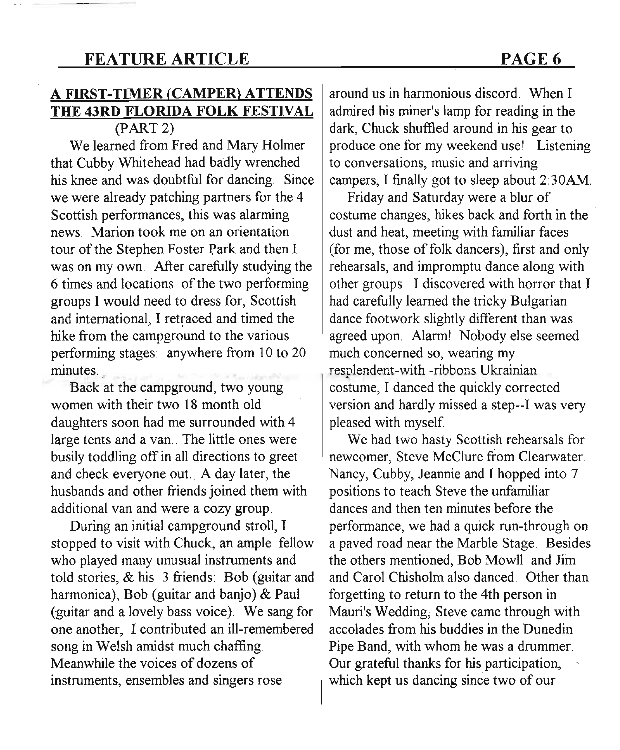## **FEATURE ARTICLE** PAGE 6

## A **FIRST-TIMER (CAMPER) ATTENDS THE 43RD FLORIDA FOLK FESTIVAL**

 $(PART 2)$ 

We learned from Fred and Mary Holmer that Cubby Whitehead had badly wrenched his knee and was doubtful for dancing. Since we were already patching partners for the 4 Scottish performances, this was alarming news. Marion took me on an orientation tour of the Stephen Foster Park and then I was on my own. After carefully studying the 6 times and locations of the two performing groups I would need to dress for, Scottish and international, I retraced and timed the hike from the campground to the various performing stages: anywhere from 10 to 20 minutes.

Back at the campground, two young women with their two 18 month old daughters soon had me surrounded with 4 large tents and a van.. The little ones were busily toddling off in all directions to greet and check everyone out. A day later, the husbands and other friends joined them with additional van and were a cozy group.

During an initial campground stroll, I stopped to visit with Chuck, an ample fellow who played many unusual instruments and told stories, & his 3 friends: Bob (guitar and harmonica), Bob (guitar and banjo) & Paul (guitar and a lovely bass voice). We sang for one another, I contributed an ill-remembered song in Welsh amidst much chaffing. Meanwhile the voices of dozens of . instruments, ensembles and singers rose

around us in harmonious discord. When I admired his miner's lamp for reading in the dark, Chuck shuffled around in his gear to produce one for my weekend use! Listening to conversations, music and arriving campers, I finally got to sleep about 2:30AM.

Friday and Saturday were a blur of costume changes, hikes back and forth in the dust and heat, meeting with familiar faces (for me, those of folk dancers), first and only rehearsals, and impromptu dance along with other groups. I discovered with horror that I had carefully learned the tricky Bulgarian dance footwork slightly different than was agreed upon. Alarm! Nobody else seemed much concerned so, wearing my resplendent-with -ribbons Ukrainian costume, I danced the quickly corrected version and hardly missed a step--I was very pleased with myself.

We had two hasty Scottish rehearsals for newcomer, Steve McClure from Clearwater. Nancy, Cubby, Jeannie and I hopped into 7 positions to teach Steve the unfamiliar dances and then ten minutes before the performance, we had a quick run-through on a paved road near the Marble Stage. Besides the others mentioned, Bob Mowll and Jim and Carol Chisholm also danced. Other than forgetting to return to the 4th person in Mauri's Wedding; Steve came through with accolades from his buddies in the Dunedin Pipe Band, with whom he was a drummer. Our grateful thanks for his participation, which kept us dancing since two of our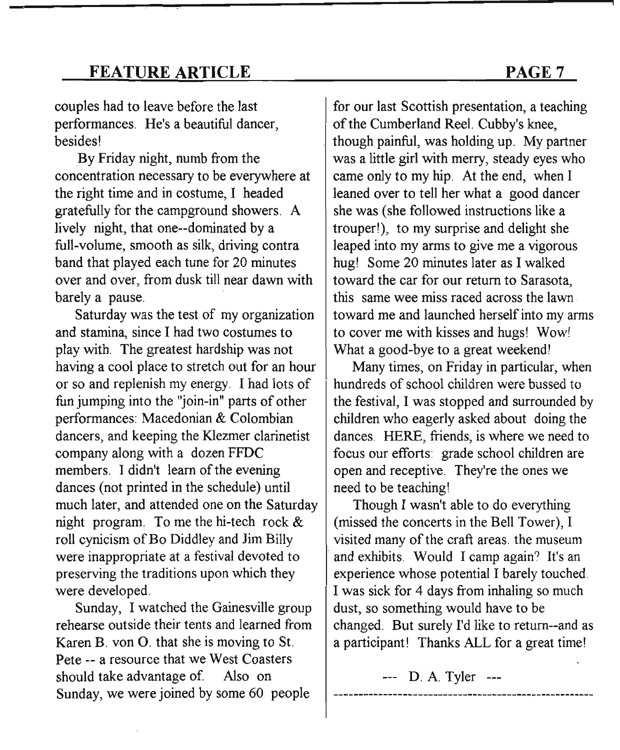## **FEATURE ARTICLE** PAGE 7

couples had to leave before the last performances. He's a beautiful dancer, besides!

By Friday night, numb from the concentration necessary to be everywhere at the right time and in costume, I headed gratefully for the campground showers. A lively night, that one--dominated by a full-volume, smooth as silk, driving contra band that played each tune for 20 minutes over and over, from dusk till near dawn with barely a pause.

Saturday was the test of my organization and stamina, since I had two costumes to play with. The greatest hardship was not having a cool place to stretch out for an hour or so and replenish my energy. I had iots of fun jumping into the "join-in" parts of other performances: Macedonian & Colombian dancers, and keeping the Klezmer clarinetist company along with a dozen FFDC members. I didn't learn of the evening dances (not printed in the schedule) until much later, and attended one on the Saturday night program. To me the hi-tech rock & roll cynicism of Bo Diddley and Jim Billy were inappropriate at a festival devoted to preserving the traditions upon which they were developed.

Sunday, I watched the Gainesville group rehearse outside their tents and learned from Karen B. von O. that she is moving to St. Pete -- a resource that we West Coasters should take advantage of Also on Sunday, we were joined by some 60 people

for our last Scottish presentation, a teaching of the Cumberland Reel. Cubby's knee, though painful, was holding up. My partner was a little girl with merry, steady eyes who came only to my hip. At the end, when I leaned over to tell her what a good dancer she was (she followed instructions like a trouper!), to my surprise and delight she leaped into my arms to give me a vigorous hug! Some 20 minutes later as I walked toward the car for our return to Sarasota, this same wee miss raced across the lawn toward me and launched herself into my arms to cover me with kisses and hugs! Wow! What a good-bye to a great weekend!

Many times, on Friday in particular, when hundreds of school children were bussed to the festival, I was stopped and surrounded by children who eagerly asked about doing the dances. HERE, friends, is where we need to focus our efforts: grade school children are open and receptive. They're the ones we need to be teaching!

Though I wasn't able to do everything (missed the concerts in the Bell Tower), I visited many of the craft areas. the museum and exhibits. Would I camp again? It's an experience whose potential I barely touched. I was sick for 4 days from inhaling so much dust, so something would have to be changed. But surely I'd like to return--and as a participant! Thanks ALL for a great time!

--- D. A. Tyler ---